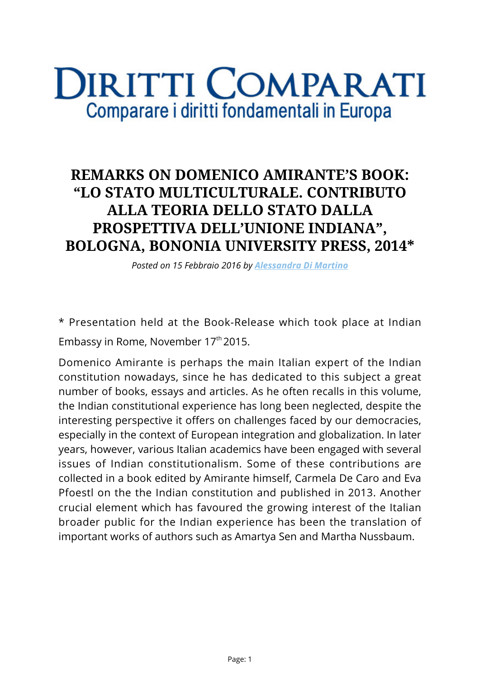## **DIRITTI COMPARATI** Comparare i diritti fondamentali in Europa

## **REMARKS ON DOMENICO AMIRANTE'S BOOK: "LO STATO MULTICULTURALE. CONTRIBUTO ALLA TEORIA DELLO STATO DALLA PROSPETTIVA DELL'UNIONE INDIANA", BOLOGNA, BONONIA UNIVERSITY PRESS, 2014\***

*Posted on 15 Febbraio 2016 by [Alessandra Di Martino](https://www.diritticomparati.it/autore/alessandra-di-martino/)*

\* Presentation held at the Book-Release which took place at Indian Embassy in Rome, November 17<sup>th</sup> 2015.

Domenico Amirante is perhaps the main Italian expert of the Indian constitution nowadays, since he has dedicated to this subject a great number of books, essays and articles. As he often recalls in this volume, the Indian constitutional experience has long been neglected, despite the interesting perspective it offers on challenges faced by our democracies, especially in the context of European integration and globalization. In later years, however, various Italian academics have been engaged with several issues of Indian constitutionalism. Some of these contributions are collected in a book edited by Amirante himself, Carmela De Caro and Eva Pfoestl on the the Indian constitution and published in 2013. Another crucial element which has favoured the growing interest of the Italian broader public for the Indian experience has been the translation of important works of authors such as Amartya Sen and Martha Nussbaum.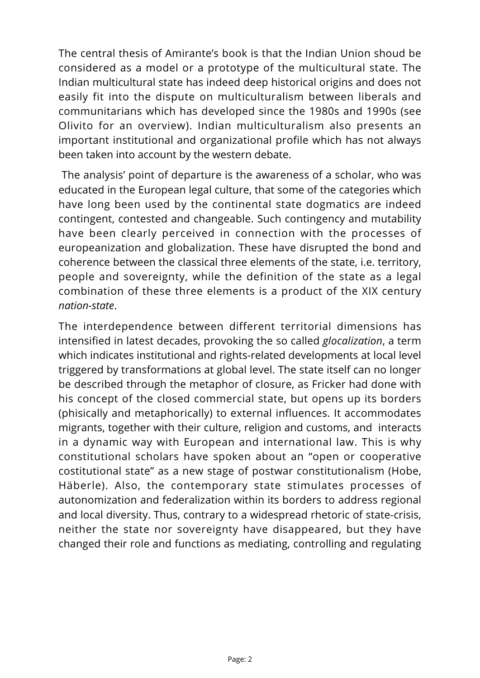The central thesis of Amirante's book is that the Indian Union shoud be considered as a model or a prototype of the multicultural state. The Indian multicultural state has indeed deep historical origins and does not easily fit into the dispute on multiculturalism between liberals and communitarians which has developed since the 1980s and 1990s (see Olivito for an overview). Indian multiculturalism also presents an important institutional and organizational profile which has not always been taken into account by the western debate.

 The analysis' point of departure is the awareness of a scholar, who was educated in the European legal culture, that some of the categories which have long been used by the continental state dogmatics are indeed contingent, contested and changeable. Such contingency and mutability have been clearly perceived in connection with the processes of europeanization and globalization. These have disrupted the bond and coherence between the classical three elements of the state, i.e. territory, people and sovereignty, while the definition of the state as a legal combination of these three elements is a product of the XIX century *nation-state*.

The interdependence between different territorial dimensions has intensified in latest decades, provoking the so called *glocalization*, a term which indicates institutional and rights-related developments at local level triggered by transformations at global level. The state itself can no longer be described through the metaphor of closure, as Fricker had done with his concept of the closed commercial state, but opens up its borders (phisically and metaphorically) to external influences. It accommodates migrants, together with their culture, religion and customs, and interacts in a dynamic way with European and international law. This is why constitutional scholars have spoken about an "open or cooperative costitutional state" as a new stage of postwar constitutionalism (Hobe, Häberle). Also, the contemporary state stimulates processes of autonomization and federalization within its borders to address regional and local diversity. Thus, contrary to a widespread rhetoric of state-crisis, neither the state nor sovereignty have disappeared, but they have changed their role and functions as mediating, controlling and regulating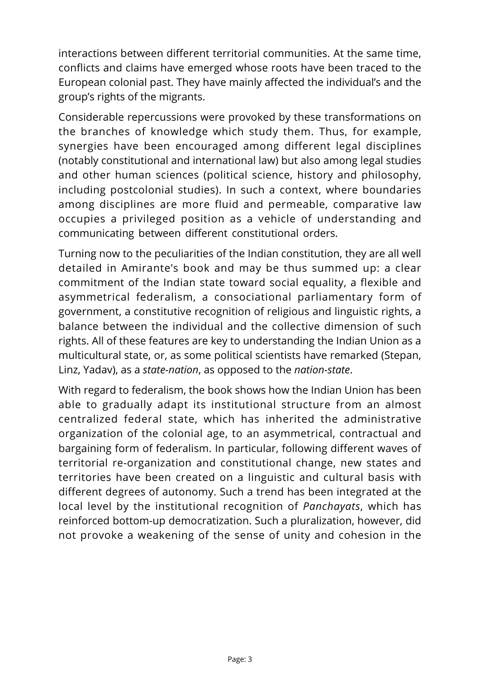interactions between different territorial communities. At the same time, conflicts and claims have emerged whose roots have been traced to the European colonial past. They have mainly affected the individual's and the group's rights of the migrants.

Considerable repercussions were provoked by these transformations on the branches of knowledge which study them. Thus, for example, synergies have been encouraged among different legal disciplines (notably constitutional and international law) but also among legal studies and other human sciences (political science, history and philosophy, including postcolonial studies). In such a context, where boundaries among disciplines are more fluid and permeable, comparative law occupies a privileged position as a vehicle of understanding and communicating between different constitutional orders.

Turning now to the peculiarities of the Indian constitution, they are all well detailed in Amirante's book and may be thus summed up: a clear commitment of the Indian state toward social equality, a flexible and asymmetrical federalism, a consociational parliamentary form of government, a constitutive recognition of religious and linguistic rights, a balance between the individual and the collective dimension of such rights. All of these features are key to understanding the Indian Union as a multicultural state, or, as some political scientists have remarked (Stepan, Linz, Yadav), as a *state-nation*, as opposed to the *nation-state*.

With regard to federalism, the book shows how the Indian Union has been able to gradually adapt its institutional structure from an almost centralized federal state, which has inherited the administrative organization of the colonial age, to an asymmetrical, contractual and bargaining form of federalism. In particular, following different waves of territorial re-organization and constitutional change, new states and territories have been created on a linguistic and cultural basis with different degrees of autonomy. Such a trend has been integrated at the local level by the institutional recognition of *Panchayats*, which has reinforced bottom-up democratization. Such a pluralization, however, did not provoke a weakening of the sense of unity and cohesion in the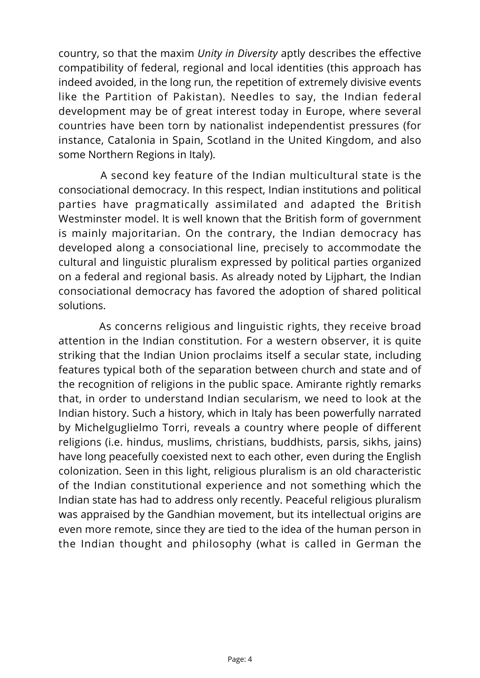country, so that the maxim *Unity in Diversity* aptly describes the effective compatibility of federal, regional and local identities (this approach has indeed avoided, in the long run, the repetition of extremely divisive events like the Partition of Pakistan). Needles to say, the Indian federal development may be of great interest today in Europe, where several countries have been torn by nationalist independentist pressures (for instance, Catalonia in Spain, Scotland in the United Kingdom, and also some Northern Regions in Italy).

 A second key feature of the Indian multicultural state is the consociational democracy. In this respect, Indian institutions and political parties have pragmatically assimilated and adapted the British Westminster model. It is well known that the British form of government is mainly majoritarian. On the contrary, the Indian democracy has developed along a consociational line, precisely to accommodate the cultural and linguistic pluralism expressed by political parties organized on a federal and regional basis. As already noted by Lijphart, the Indian consociational democracy has favored the adoption of shared political solutions.

 As concerns religious and linguistic rights, they receive broad attention in the Indian constitution. For a western observer, it is quite striking that the Indian Union proclaims itself a secular state, including features typical both of the separation between church and state and of the recognition of religions in the public space. Amirante rightly remarks that, in order to understand Indian secularism, we need to look at the Indian history. Such a history, which in Italy has been powerfully narrated by Michelguglielmo Torri, reveals a country where people of different religions (i.e. hindus, muslims, christians, buddhists, parsis, sikhs, jains) have long peacefully coexisted next to each other, even during the English colonization. Seen in this light, religious pluralism is an old characteristic of the Indian constitutional experience and not something which the Indian state has had to address only recently. Peaceful religious pluralism was appraised by the Gandhian movement, but its intellectual origins are even more remote, since they are tied to the idea of the human person in the Indian thought and philosophy (what is called in German the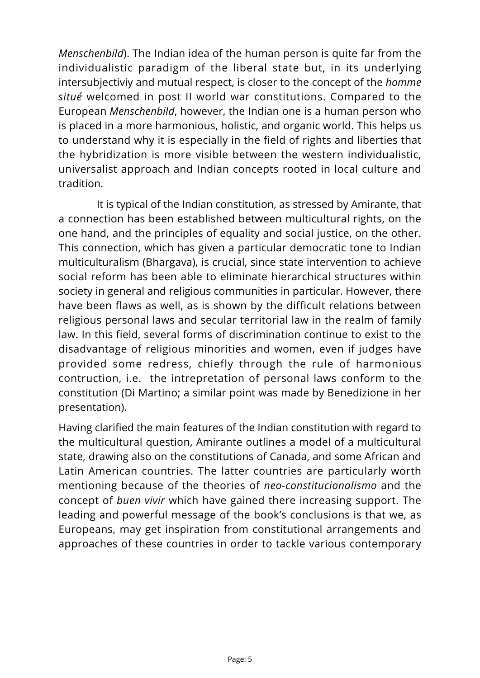*Menschenbild*). The Indian idea of the human person is quite far from the individualistic paradigm of the liberal state but, in its underlying intersubjectiviy and mutual respect, is closer to the concept of the *homme situé* welcomed in post II world war constitutions. Compared to the European *Menschenbild*, however, the Indian one is a human person who is placed in a more harmonious, holistic, and organic world. This helps us to understand why it is especially in the field of rights and liberties that the hybridization is more visible between the western individualistic, universalist approach and Indian concepts rooted in local culture and tradition.

 It is typical of the Indian constitution, as stressed by Amirante, that a connection has been established between multicultural rights, on the one hand, and the principles of equality and social justice, on the other. This connection, which has given a particular democratic tone to Indian multiculturalism (Bhargava), is crucial, since state intervention to achieve social reform has been able to eliminate hierarchical structures within society in general and religious communities in particular. However, there have been flaws as well, as is shown by the difficult relations between religious personal laws and secular territorial law in the realm of family law. In this field, several forms of discrimination continue to exist to the disadvantage of religious minorities and women, even if judges have provided some redress, chiefly through the rule of harmonious contruction, i.e. the intrepretation of personal laws conform to the constitution (Di Martino; a similar point was made by Benedizione in her presentation).

Having clarified the main features of the Indian constitution with regard to the multicultural question, Amirante outlines a model of a multicultural state, drawing also on the constitutions of Canada, and some African and Latin American countries. The latter countries are particularly worth mentioning because of the theories of *neo-constitucionalismo* and the concept of *buen vivir* which have gained there increasing support. The leading and powerful message of the book's conclusions is that we, as Europeans, may get inspiration from constitutional arrangements and approaches of these countries in order to tackle various contemporary